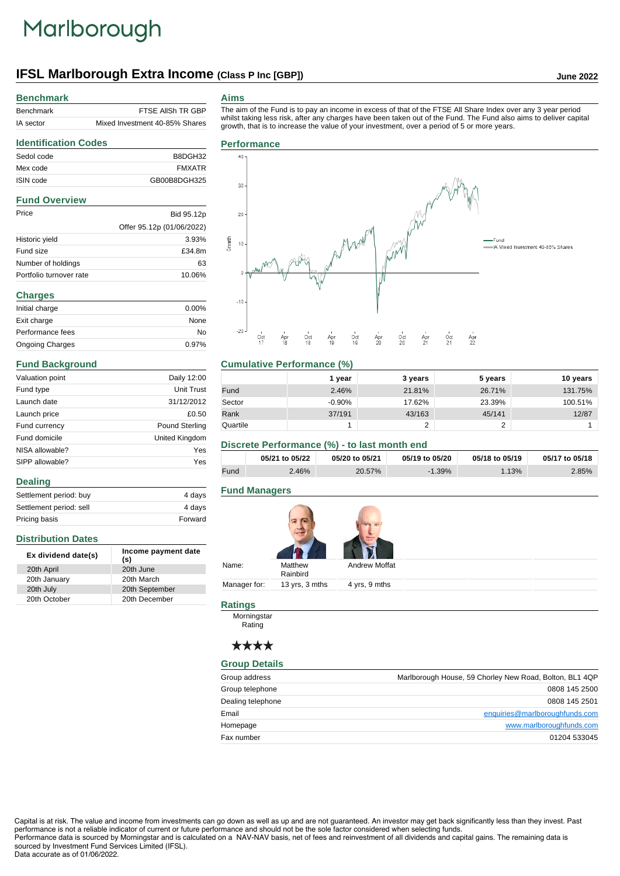# Marlborough

# **IFSL Marlborough Extra Income (Class P Inc [GBP]) June 2022**

#### **Benchmark**

| Benchmark | FTSE AIISH TR GBP              |
|-----------|--------------------------------|
| IA sector | Mixed Investment 40-85% Shares |

#### **Aims**

The aim of the Fund is to pay an income in excess of that of the FTSE All Share Index over any 3 year period whilst taking less risk, after any charges have been taken out of the Fund. The Fund also aims to deliver capital growth, that is to increase the value of your investment, over a period of 5 or more years.

# **Identification Codes** Sedol code B8DGH32 Mex code FMXATR ISIN code GB00B8DGH325

## **Fund Overview**

| Price                   | Bid 95.12p                |
|-------------------------|---------------------------|
|                         | Offer 95.12p (01/06/2022) |
| Historic yield          | 3.93%                     |
| Fund size               | £34.8m                    |
| Number of holdings      | 63                        |
| Portfolio turnover rate | 10.06%                    |

| <b>Charges</b>         |          |  |
|------------------------|----------|--|
| Initial charge         | $0.00\%$ |  |
| Exit charge            | None     |  |
| Performance fees       | No       |  |
| <b>Ongoing Charges</b> | 0.97%    |  |

#### **Fund Background**

**Distribution Dates**

**Dealing**

| Valuation point | Daily 12:00           |
|-----------------|-----------------------|
| Fund type       | <b>Unit Trust</b>     |
| Launch date     | 31/12/2012            |
| Launch price    | £0.50                 |
| Fund currency   | <b>Pound Sterling</b> |
| Fund domicile   | United Kingdom        |
| NISA allowable? | Yes                   |
| SIPP allowable? | Yes                   |

Settlement period: buy 4 days Settlement period: sell 4 days Pricing basis **Forward** 

**Ex dividend date(s) Income payment date (s)**

20th December

20th April 20th June 20th January 20th March 20th July 20th September<br>
20th October 20th December

# **Performance**



#### **Cumulative Performance (%)**

|          | 1 year   | 3 years    | 5 years | 10 years |
|----------|----------|------------|---------|----------|
| Fund     | 2.46%    | 21.81%     | 26.71%  | 131.75%  |
| Sector   | $-0.90%$ | 17.62%     | 23.39%  | 100.51%  |
| Rank     | 37/191   | 43/163     | 45/141  | 12/87    |
| Quartile |          | $\sqrt{2}$ | ◠       |          |

#### **Discrete Performance (%) - to last month end**

|      | 05/21 to 05/22 | 05/20 to 05/21 | 05/19 to 05/20 | 05/18 to 05/19 | 05/17 to 05/18 |
|------|----------------|----------------|----------------|----------------|----------------|
| Fund | $2.46\%$       | 20.57%         | $-1.39%$       | 1.13%          | 2.85%          |

### **Fund Managers**

| Name:        | Matthew<br>Rainbird | <b>Andrew Moffat</b> |  |
|--------------|---------------------|----------------------|--|
| Manager for: | 13 yrs, 3 mths      | 4 yrs, 9 mths        |  |

# **Ratings**

Morningstar **Rating** 

# \*\*\*\*

#### **Group Details**

| Group address     | Marlborough House, 59 Chorley New Road, Bolton, BL1 4QP |
|-------------------|---------------------------------------------------------|
| Group telephone   | 0808 145 2500                                           |
| Dealing telephone | 0808 145 2501                                           |
| Email             | enquiries@marlboroughfunds.com                          |
| Homepage          | www.marlboroughfunds.com                                |
| Fax number        | 01204 533045                                            |

Capital is at risk. The value and income from investments can go down as well as up and are not guaranteed. An investor may get back significantly less than they invest. Past performance is not a reliable indicator of current or future performance and should not be the sole factor considered when selecting funds. Performance data is sourced by Morningstar and is calculated on a NAV-NAV basis, net of fees and reinvestment of all dividends and capital gains. The remaining data is

sourced by Investment Fund Services Limited (IFSL). Data accurate as of 01/06/2022.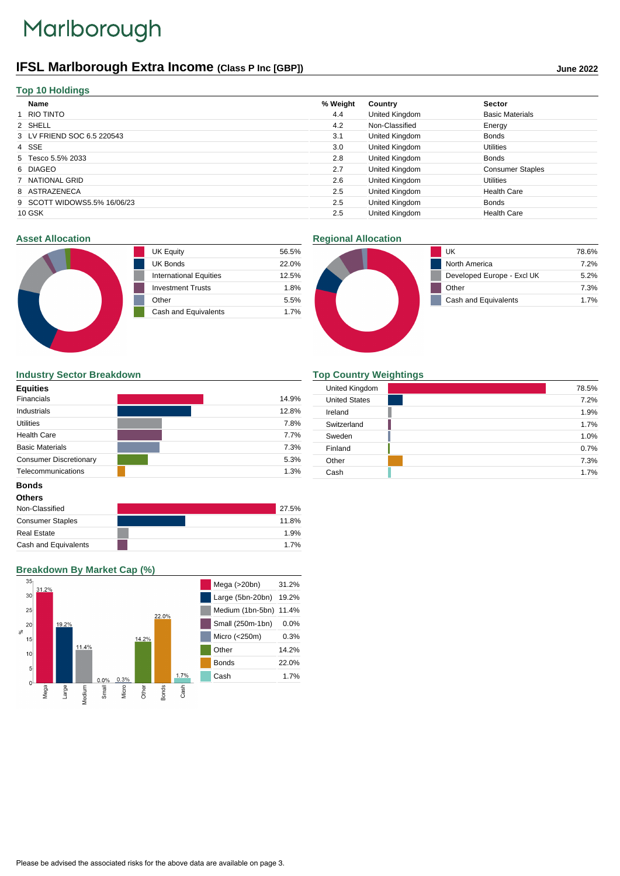# Marlborough

# **IFSL Marlborough Extra Income (Class P Inc [GBP]) June 2022**

| Name                        | % Weight | Country        | <b>Sector</b>           |
|-----------------------------|----------|----------------|-------------------------|
| 1 RIO TINTO                 | 4.4      | United Kingdom | <b>Basic Materials</b>  |
| 2 SHELL                     | 4.2      | Non-Classified | Energy                  |
| 3 LV FRIEND SOC 6.5 220543  | 3.1      | United Kingdom | <b>Bonds</b>            |
| 4 SSE                       | 3.0      | United Kingdom | <b>Utilities</b>        |
| 5 Tesco 5.5% 2033           | 2.8      | United Kingdom | <b>Bonds</b>            |
| 6 DIAGEO                    | 2.7      | United Kingdom | <b>Consumer Staples</b> |
| 7 NATIONAL GRID             | 2.6      | United Kingdom | <b>Utilities</b>        |
| 8 ASTRAZENECA               | 2.5      | United Kingdom | <b>Health Care</b>      |
| 9 SCOTT WIDOWS5.5% 16/06/23 | 2.5      | United Kingdom | <b>Bonds</b>            |
| 10 GSK                      | 2.5      | United Kingdom | <b>Health Care</b>      |

#### **Asset Allocation**

| <b>UK Equity</b>              | 56.5% |
|-------------------------------|-------|
| <b>UK Bonds</b>               | 22.0% |
| <b>International Equities</b> | 12.5% |
| <b>Investment Trusts</b>      | 1.8%  |
| Other                         | 5.5%  |
| Cash and Equivalents          | 17%   |
|                               |       |

# **Regional Allocation**



## **Industry Sector Breakdown**

| <b>Equities</b>               |       |
|-------------------------------|-------|
| <b>Financials</b>             | 14.9% |
| Industrials                   | 12.8% |
| <b>Utilities</b>              | 7.8%  |
| <b>Health Care</b>            | 7.7%  |
| <b>Basic Materials</b>        | 7.3%  |
| <b>Consumer Discretionary</b> | 5.3%  |
| Telecommunications            | 1.3%  |

### **Top Country Weightings**

| United Kingdom       | 78.5% |
|----------------------|-------|
| <b>United States</b> | 7.2%  |
| Ireland              | 1.9%  |
| Switzerland          | 1.7%  |
| Sweden               | 1.0%  |
| Finland              | 0.7%  |
| Other                | 7.3%  |
| Cash                 | 1.7%  |

# **Bonds**

| <b>Others</b>           |       |
|-------------------------|-------|
| Non-Classified          | 27.5% |
| <b>Consumer Staples</b> | 11.8% |
| <b>Real Estate</b>      | 1.9%  |
| Cash and Equivalents    | 1.7%  |

# **Breakdown By Market Cap (%)**